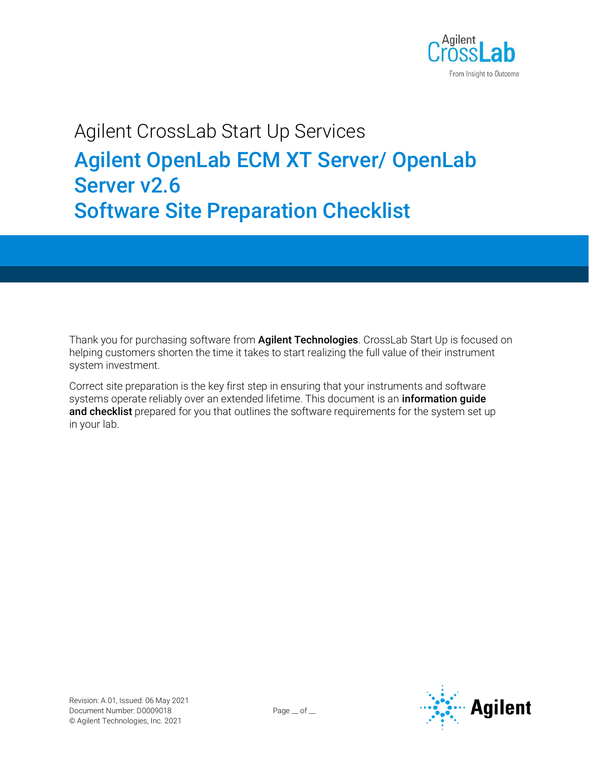

# Agilent CrossLab Start Up Services Agilent OpenLab ECM XT Server/ OpenLab Server v2.6 Software Site Preparation Checklist

Thank you for purchasing software from **Agilent Technologies**. CrossLab Start Up is focused on helping customers shorten the time it takes to start realizing the full value of their instrument system investment.

Correct site preparation is the key first step in ensuring that your instruments and software systems operate reliably over an extended lifetime. This document is an *information guide* and checklist prepared for you that outlines the software requirements for the system set up in your lab.

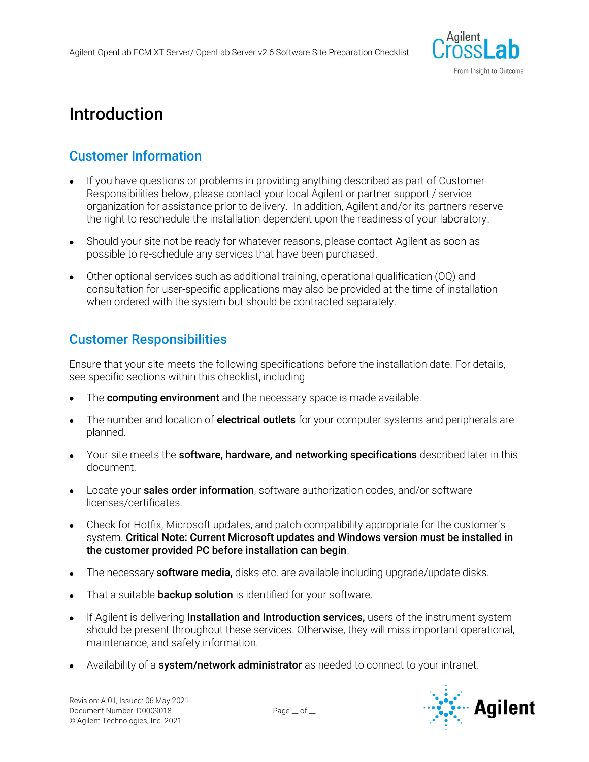

## Introduction

## Customer Information

- If you have questions or problems in providing anything described as part of Customer Responsibilities below, please contact your local Agilent or partner support / service organization for assistance prior to delivery. In addition, Agilent and/or its partners reserve the right to reschedule the installation dependent upon the readiness of your laboratory.
- Should your site not be ready for whatever reasons, please contact Agilent as soon as possible to re-schedule any services that have been purchased.
- Other optional services such as additional training, operational qualification (OQ) and consultation for user-specific applications may also be provided at the time of installation when ordered with the system but should be contracted separately.

### Customer Responsibilities

Ensure that your site meets the following specifications before the installation date. For details, see specific sections within this checklist, including

- The **computing environment** and the necessary space is made available.
- The number and location of **electrical outlets** for your computer systems and peripherals are planned.
- Your site meets the **software, hardware, and networking specifications** described later in this document.
- Locate your **sales order information**, software authorization codes, and/or software licenses/certificates.
- Check for Hotfix, Microsoft updates, and patch compatibility appropriate for the customer's system. Critical Note: Current Microsoft updates and Windows version must be installed in the customer provided PC before installation can begin.
- The necessary **software media**, disks etc. are available including upgrade/update disks.
- That a suitable **backup solution** is identified for your software.
- If Agilent is delivering **Installation and Introduction services,** users of the instrument system should be present throughout these services. Otherwise, they will miss important operational, maintenance, and safety information.
- Availability of a **system/network administrator** as needed to connect to your intranet.

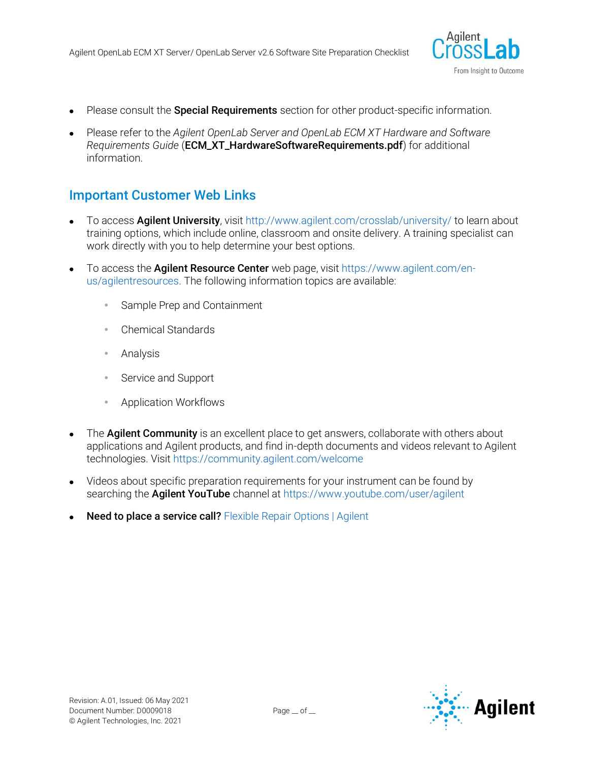

- Please consult the **Special Requirements** section for other product-specific information.
- Please refer to the *Agilent OpenLab Server and OpenLab ECM XT Hardware and Software Requirements Guide* (ECM\_XT\_HardwareSoftwareRequirements.pdf) for additional information.

### Important Customer Web Links

- To access Agilent University, visit<http://www.agilent.com/crosslab/university/> to learn about training options, which include online, classroom and onsite delivery. A training specialist can work directly with you to help determine your best options.
- To access the **Agilent Resource Center** web page, visit [https://www.agilent.com/en](https://www.agilent.com/en-us/agilentresources)[us/agilentresources.](https://www.agilent.com/en-us/agilentresources) The following information topics are available:
	- Sample Prep and Containment
	- Chemical Standards
	- Analysis
	- Service and Support
	- Application Workflows
- The **Agilent Community** is an excellent place to get answers, collaborate with others about applications and Agilent products, and find in-depth documents and videos relevant to Agilent technologies. Visit<https://community.agilent.com/welcome>
- Videos about specific preparation requirements for your instrument can be found by searching the **Agilent YouTube** channel a[t https://www.youtube.com/user/agilent](https://www.youtube.com/user/agilent)
- Need to place a service call? [Flexible Repair Options | Agilent](https://www.agilent.com/en/promotions/flexible-repair-options)

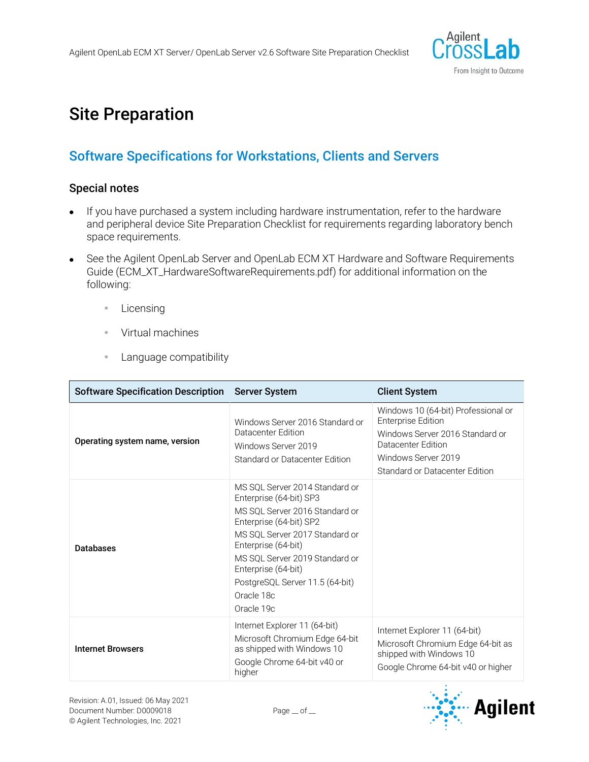

## Site Preparation

## Software Specifications for Workstations, Clients and Servers

#### Special notes

- If you have purchased a system including hardware instrumentation, refer to the hardware and peripheral device Site Preparation Checklist for requirements regarding laboratory bench space requirements.
- See the Agilent OpenLab Server and OpenLab ECM XT Hardware and Software Requirements Guide (ECM\_XT\_HardwareSoftwareRequirements.pdf) for additional information on the following:
	- **•** Licensing
	- Virtual machines
	- **Language compatibility**

| <b>Software Specification Description</b> | <b>Server System</b>                                                                                                                                                                                                                                                                                    | <b>Client System</b>                                                                                                                                                               |
|-------------------------------------------|---------------------------------------------------------------------------------------------------------------------------------------------------------------------------------------------------------------------------------------------------------------------------------------------------------|------------------------------------------------------------------------------------------------------------------------------------------------------------------------------------|
| Operating system name, version            | Windows Server 2016 Standard or<br>Datacenter Edition<br>Windows Server 2019<br>Standard or Datacenter Edition                                                                                                                                                                                          | Windows 10 (64-bit) Professional or<br><b>Enterprise Edition</b><br>Windows Server 2016 Standard or<br>Datacenter Edition<br>Windows Server 2019<br>Standard or Datacenter Edition |
| <b>Databases</b>                          | MS SOL Server 2014 Standard or<br>Enterprise (64-bit) SP3<br>MS SQL Server 2016 Standard or<br>Enterprise (64-bit) SP2<br>MS SQL Server 2017 Standard or<br>Enterprise (64-bit)<br>MS SQL Server 2019 Standard or<br>Enterprise (64-bit)<br>PostgreSQL Server 11.5 (64-bit)<br>Oracle 18c<br>Oracle 19c |                                                                                                                                                                                    |
| <b>Internet Browsers</b>                  | Internet Explorer 11 (64-bit)<br>Microsoft Chromium Edge 64-bit<br>as shipped with Windows 10<br>Google Chrome 64-bit v40 or<br>higher                                                                                                                                                                  | Internet Explorer 11 (64-bit)<br>Microsoft Chromium Edge 64-bit as<br>shipped with Windows 10<br>Google Chrome 64-bit v40 or higher                                                |

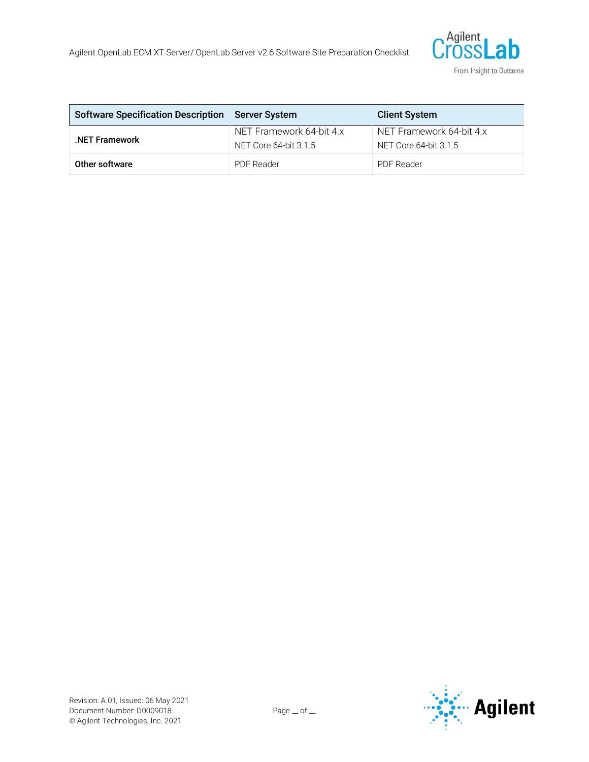

| Software Specification Description Server System |                                                   | <b>Client System</b>                              |
|--------------------------------------------------|---------------------------------------------------|---------------------------------------------------|
| .NET Framework                                   | NET Framework 64-bit 4.x<br>NET Core 64-bit 3.1.5 | NET Framework 64-bit 4.x<br>NET Core 64-bit 3.1.5 |
| Other software                                   | <b>PDF</b> Reader                                 | <b>PDF Reader</b>                                 |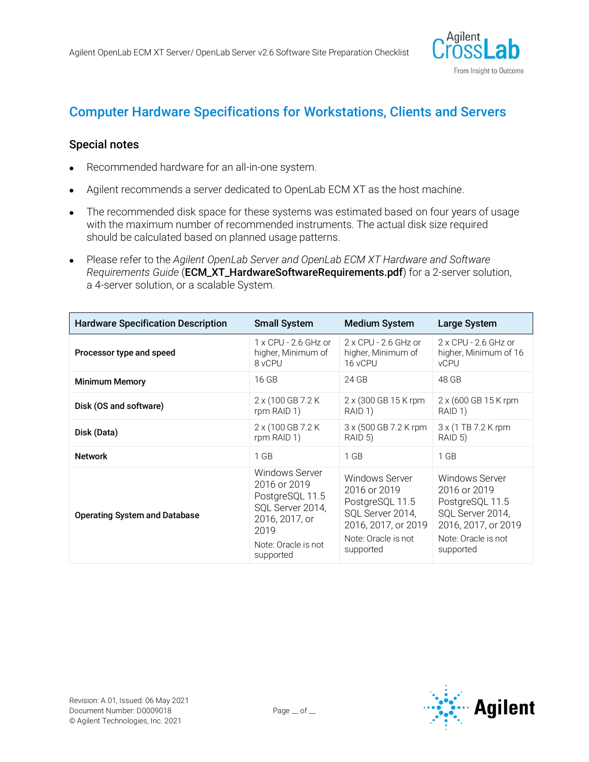

## Computer Hardware Specifications for Workstations, Clients and Servers

#### Special notes

- Recommended hardware for an all-in-one system.
- Agilent recommends a server dedicated to OpenLab ECM XT as the host machine.
- The recommended disk space for these systems was estimated based on four years of usage with the maximum number of recommended instruments. The actual disk size required should be calculated based on planned usage patterns.
- Please refer to the *Agilent OpenLab Server and OpenLab ECM XT Hardware and Software Requirements Guide* (ECM\_XT\_HardwareSoftwareRequirements.pdf) for a 2-server solution, a 4-server solution, or a scalable System.

| <b>Hardware Specification Description</b> | <b>Small System</b>                                                                                                                 | <b>Medium System</b>                                                                                                             | <b>Large System</b>                                                                                                              |
|-------------------------------------------|-------------------------------------------------------------------------------------------------------------------------------------|----------------------------------------------------------------------------------------------------------------------------------|----------------------------------------------------------------------------------------------------------------------------------|
| Processor type and speed                  | $1 \times$ CPU - 2.6 GHz or<br>higher, Minimum of<br>8 vCPU                                                                         | $2 \times$ CPU - 2.6 GHz or<br>higher, Minimum of<br>16 vCPU                                                                     | $2 \times$ CPU - 2.6 GHz or<br>higher, Minimum of 16<br><b>vCPU</b>                                                              |
| <b>Minimum Memory</b>                     | 16 GB                                                                                                                               | 24 GB                                                                                                                            | 48 GB                                                                                                                            |
| Disk (OS and software)                    | 2 x (100 GB 7.2 K)<br>rpm RAID 1)                                                                                                   | 2 x (300 GB 15 K rpm<br>RAID 1)                                                                                                  | 2 x (600 GB 15 K rpm)<br>RAID 1)                                                                                                 |
| Disk (Data)                               | 2 x (100 GB 7.2 K)<br>rpm RAID 1)                                                                                                   | 3 x (500 GB 7.2 K rpm)<br>RAID 5)                                                                                                | 3 x (1 TB 7.2 K rpm<br>RAID 5)                                                                                                   |
| <b>Network</b>                            | $1$ GB                                                                                                                              | $1$ GB                                                                                                                           | $1$ GB                                                                                                                           |
| <b>Operating System and Database</b>      | Windows Server<br>2016 or 2019<br>PostgreSQL 11.5<br>SQL Server 2014,<br>2016, 2017, or<br>2019<br>Note: Oracle is not<br>supported | Windows Server<br>2016 or 2019<br>PostgreSQL 11.5<br>SQL Server 2014,<br>2016, 2017, or 2019<br>Note: Oracle is not<br>supported | Windows Server<br>2016 or 2019<br>PostgreSQL 11.5<br>SQL Server 2014,<br>2016, 2017, or 2019<br>Note: Oracle is not<br>supported |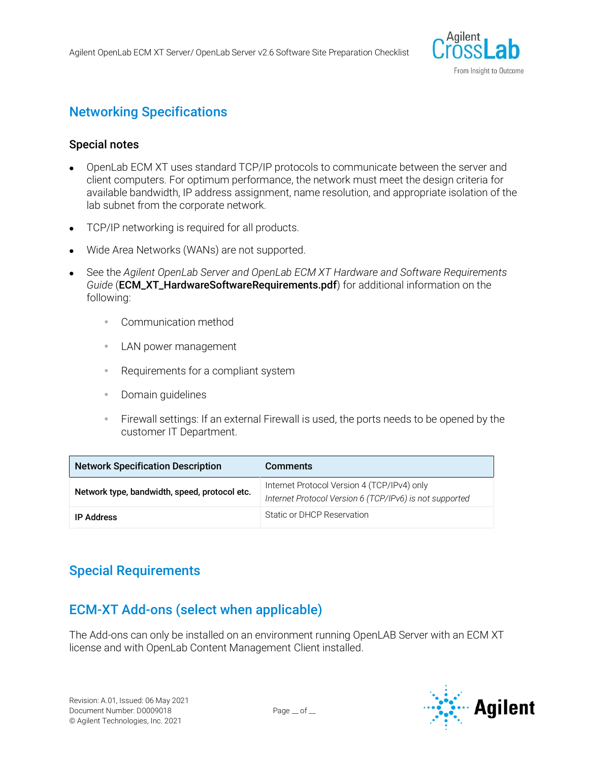

## Networking Specifications

#### Special notes

- OpenLab ECM XT uses standard TCP/IP protocols to communicate between the server and client computers. For optimum performance, the network must meet the design criteria for available bandwidth, IP address assignment, name resolution, and appropriate isolation of the lab subnet from the corporate network.
- TCP/IP networking is required for all products.
- Wide Area Networks (WANs) are not supported.
- See the *Agilent OpenLab Server and OpenLab ECM XT Hardware and Software Requirements Guide* (ECM\_XT\_HardwareSoftwareRequirements.pdf) for additional information on the following:
	- Communication method
	- **LAN power management**
	- Requirements for a compliant system
	- Domain guidelines
	- Firewall settings: If an external Firewall is used, the ports needs to be opened by the customer IT Department.

| <b>Network Specification Description</b>      | <b>Comments</b>                                                                                        |
|-----------------------------------------------|--------------------------------------------------------------------------------------------------------|
| Network type, bandwidth, speed, protocol etc. | Internet Protocol Version 4 (TCP/IPv4) only<br>Internet Protocol Version 6 (TCP/IPv6) is not supported |
| <b>IP Address</b>                             | Static or DHCP Reservation                                                                             |

### Special Requirements

### ECM-XT Add-ons (select when applicable)

The Add-ons can only be installed on an environment running OpenLAB Server with an ECM XT license and with OpenLab Content Management Client installed.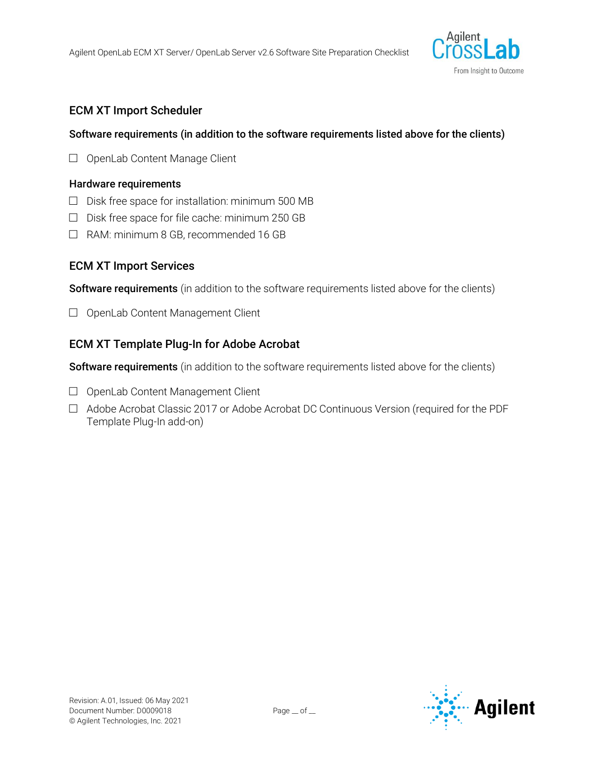

#### ECM XT Import Scheduler

#### Software requirements (in addition to the software requirements listed above for the clients)

□ OpenLab Content Manage Client

#### Hardware requirements

- $\square$  Disk free space for installation: minimum 500 MB
- $\Box$  Disk free space for file cache: minimum 250 GB
- □ RAM: minimum 8 GB, recommended 16 GB

#### ECM XT Import Services

Software requirements (in addition to the software requirements listed above for the clients)

□ OpenLab Content Management Client

#### ECM XT Template Plug-In for Adobe Acrobat

Software requirements (in addition to the software requirements listed above for the clients)

- □ OpenLab Content Management Client
- □ Adobe Acrobat Classic 2017 or Adobe Acrobat DC Continuous Version (required for the PDF Template Plug-In add-on)